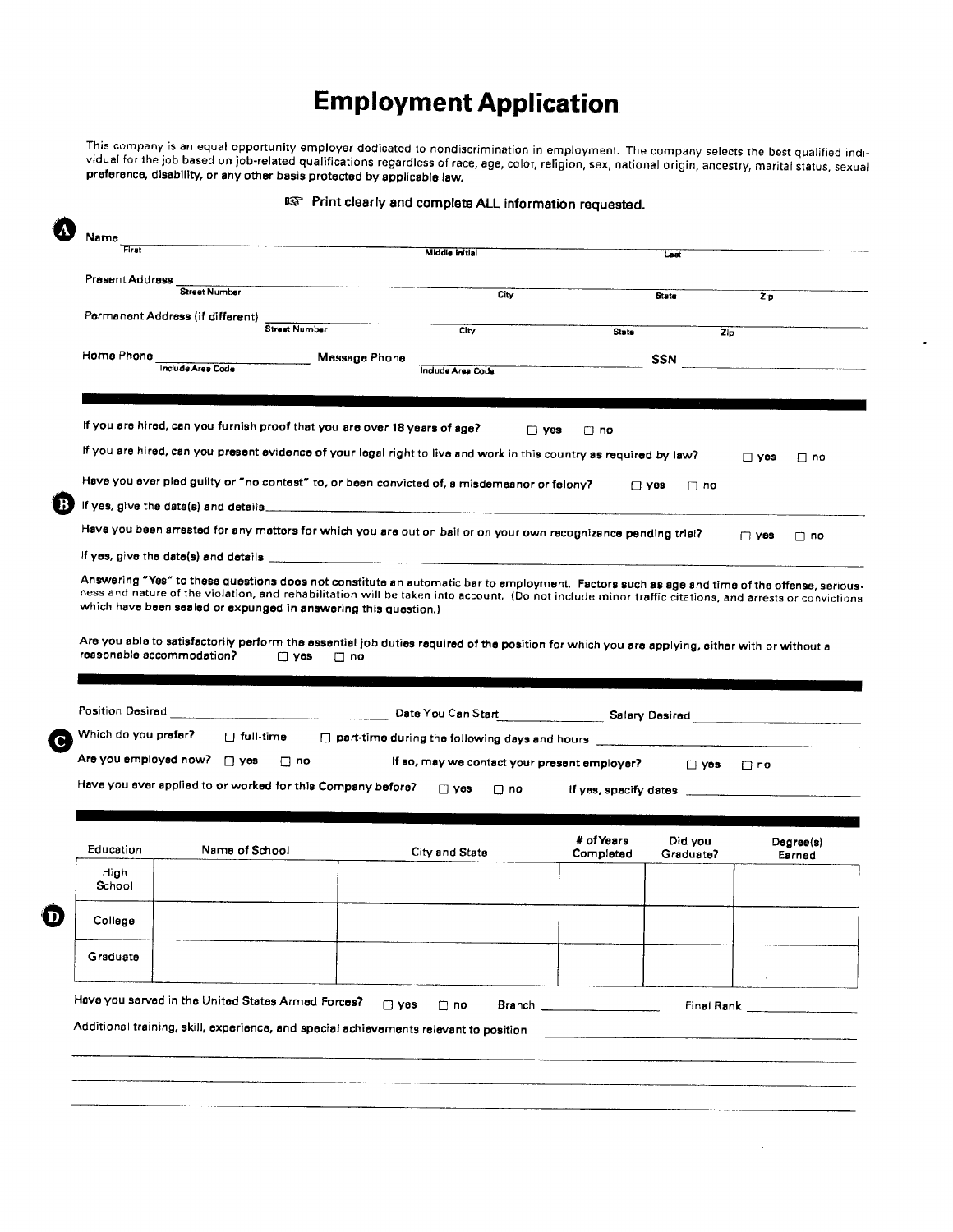## **Employment Application**

This company is an equal opportunity employer dedicated to nondiscrimination in employment. The company selects the best qualified individual for the job based on job-related qualifications regardless of race, age, color, religion, sex, national origin, ancestry, marital status, sexual preference, disability, or any other basis protected by applicable law

 $\bullet$ 

 $\sim$ 

| First                |                                                                                                            | Middle Initial                                                                                                                                                                                                                       |                    | Last                                                                                                                                                                                                                                 |                                                                                                                                                                                                                                      |                                                                                                                                                      |
|----------------------|------------------------------------------------------------------------------------------------------------|--------------------------------------------------------------------------------------------------------------------------------------------------------------------------------------------------------------------------------------|--------------------|--------------------------------------------------------------------------------------------------------------------------------------------------------------------------------------------------------------------------------------|--------------------------------------------------------------------------------------------------------------------------------------------------------------------------------------------------------------------------------------|------------------------------------------------------------------------------------------------------------------------------------------------------|
| Present Address      |                                                                                                            |                                                                                                                                                                                                                                      |                    |                                                                                                                                                                                                                                      |                                                                                                                                                                                                                                      |                                                                                                                                                      |
|                      | <b>Street Number</b>                                                                                       | City                                                                                                                                                                                                                                 |                    | <b>State</b>                                                                                                                                                                                                                         | Zip                                                                                                                                                                                                                                  |                                                                                                                                                      |
|                      | Permanent Address (if different)<br><b>Street Number</b>                                                   | C <sub>ky</sub>                                                                                                                                                                                                                      | State              | Z <sub>D</sub>                                                                                                                                                                                                                       |                                                                                                                                                                                                                                      |                                                                                                                                                      |
| Home Phone           |                                                                                                            |                                                                                                                                                                                                                                      |                    |                                                                                                                                                                                                                                      |                                                                                                                                                                                                                                      |                                                                                                                                                      |
|                      | <b>Include Area Code</b>                                                                                   | Message Phone<br>Indude Area Code                                                                                                                                                                                                    |                    | SSN                                                                                                                                                                                                                                  | <u> 1980 - Jan Stein Stein Stein Stein Stein Stein Stein Stein Stein Stein Stein Stein Stein Stein Stein Stein Stein Stein Stein Stein Stein Stein Stein Stein Stein Stein Stein Stein Stein Stein Stein Stein Stein Stein Stein</u> |                                                                                                                                                      |
|                      |                                                                                                            |                                                                                                                                                                                                                                      |                    |                                                                                                                                                                                                                                      |                                                                                                                                                                                                                                      |                                                                                                                                                      |
|                      |                                                                                                            | If you are hired, can you furnish proof that you are over 18 years of age?                                                                                                                                                           |                    |                                                                                                                                                                                                                                      |                                                                                                                                                                                                                                      |                                                                                                                                                      |
|                      |                                                                                                            |                                                                                                                                                                                                                                      | ⊟ γes<br>$\Box$ no |                                                                                                                                                                                                                                      |                                                                                                                                                                                                                                      |                                                                                                                                                      |
|                      |                                                                                                            | If you are hired, can you present evidence of your legal right to live and work in this country as required by law?                                                                                                                  |                    |                                                                                                                                                                                                                                      | $\Box$ yes                                                                                                                                                                                                                           | Π no                                                                                                                                                 |
|                      |                                                                                                            | Have you ever pled guilty or "no contest" to, or been convicted of, a misdemeanor or felony?                                                                                                                                         |                    | $\Box$ yes<br>$\Box$ no                                                                                                                                                                                                              |                                                                                                                                                                                                                                      |                                                                                                                                                      |
|                      |                                                                                                            | If yes, give the date(s) and details <b>with a contract of the set of the set of the set of the set of the set of the set of the set of the set of the set of the set of the set of the set of the set of the set of the set of </b> |                    |                                                                                                                                                                                                                                      |                                                                                                                                                                                                                                      |                                                                                                                                                      |
|                      |                                                                                                            | Have you been arrested for any matters for which you are out on bail or on your own recognizance pending trial?                                                                                                                      |                    |                                                                                                                                                                                                                                      | $\Box$ yes                                                                                                                                                                                                                           | $\Box$ no                                                                                                                                            |
|                      |                                                                                                            |                                                                                                                                                                                                                                      |                    |                                                                                                                                                                                                                                      |                                                                                                                                                                                                                                      |                                                                                                                                                      |
|                      |                                                                                                            | Answering "Yes" to these questions does not constitute an automatic bar to employment. Factors such as age and time of the offense, serious-                                                                                         |                    |                                                                                                                                                                                                                                      |                                                                                                                                                                                                                                      |                                                                                                                                                      |
|                      | which have been sealed or expunged in answering this question.)<br>reasonable accommodation?<br>$\Box$ yes | Are you able to satisfactorily perform the essential job duties required of the position for which you are applying, either with or without a<br>$\Box$ no                                                                           |                    |                                                                                                                                                                                                                                      |                                                                                                                                                                                                                                      |                                                                                                                                                      |
| Position Desired     |                                                                                                            |                                                                                                                                                                                                                                      |                    |                                                                                                                                                                                                                                      |                                                                                                                                                                                                                                      |                                                                                                                                                      |
| Which do you prefer? | $\Box$ full-time                                                                                           |                                                                                                                                                                                                                                      |                    |                                                                                                                                                                                                                                      |                                                                                                                                                                                                                                      |                                                                                                                                                      |
|                      |                                                                                                            | $\square$ part-time during the following days and hours                                                                                                                                                                              |                    |                                                                                                                                                                                                                                      |                                                                                                                                                                                                                                      |                                                                                                                                                      |
|                      | Are you employed now? [3] yes<br>$\Box$ no                                                                 | If so, may we contact your present employer?                                                                                                                                                                                         |                    | $\Box$ yes                                                                                                                                                                                                                           | $\Box$ no                                                                                                                                                                                                                            |                                                                                                                                                      |
|                      | Have you ever applied to or worked for this Company before?                                                | $\Box$ yes<br>$\Box$ no                                                                                                                                                                                                              |                    | if yes, specify dates <b>with the contract of the second second set of the second second second second second set of the second second second second second second second second second second second second second second secon</b> |                                                                                                                                                                                                                                      |                                                                                                                                                      |
| Education            | Name of School                                                                                             |                                                                                                                                                                                                                                      | # of Years         | Did you                                                                                                                                                                                                                              | Degree(s)                                                                                                                                                                                                                            |                                                                                                                                                      |
|                      |                                                                                                            | City and State                                                                                                                                                                                                                       | Completed          | Graduate?                                                                                                                                                                                                                            | Earned                                                                                                                                                                                                                               |                                                                                                                                                      |
| High<br>School       |                                                                                                            |                                                                                                                                                                                                                                      |                    |                                                                                                                                                                                                                                      |                                                                                                                                                                                                                                      |                                                                                                                                                      |
| College              |                                                                                                            |                                                                                                                                                                                                                                      |                    |                                                                                                                                                                                                                                      |                                                                                                                                                                                                                                      |                                                                                                                                                      |
| Graduate             |                                                                                                            |                                                                                                                                                                                                                                      |                    |                                                                                                                                                                                                                                      |                                                                                                                                                                                                                                      |                                                                                                                                                      |
|                      |                                                                                                            |                                                                                                                                                                                                                                      |                    |                                                                                                                                                                                                                                      |                                                                                                                                                                                                                                      |                                                                                                                                                      |
|                      | Have you served in the United States Armed Forces?                                                         | $\Box$ yes<br>$\Box$ no                                                                                                                                                                                                              |                    |                                                                                                                                                                                                                                      | Final Rank <b>contract the Service State</b>                                                                                                                                                                                         |                                                                                                                                                      |
|                      |                                                                                                            | Additional training, skill, experience, and special achievements relevant to position                                                                                                                                                |                    |                                                                                                                                                                                                                                      |                                                                                                                                                                                                                                      | ness and nature of the violation, and rehabilitation will be taken into account. (Do not include minor traffic citations, and arrests or convictions |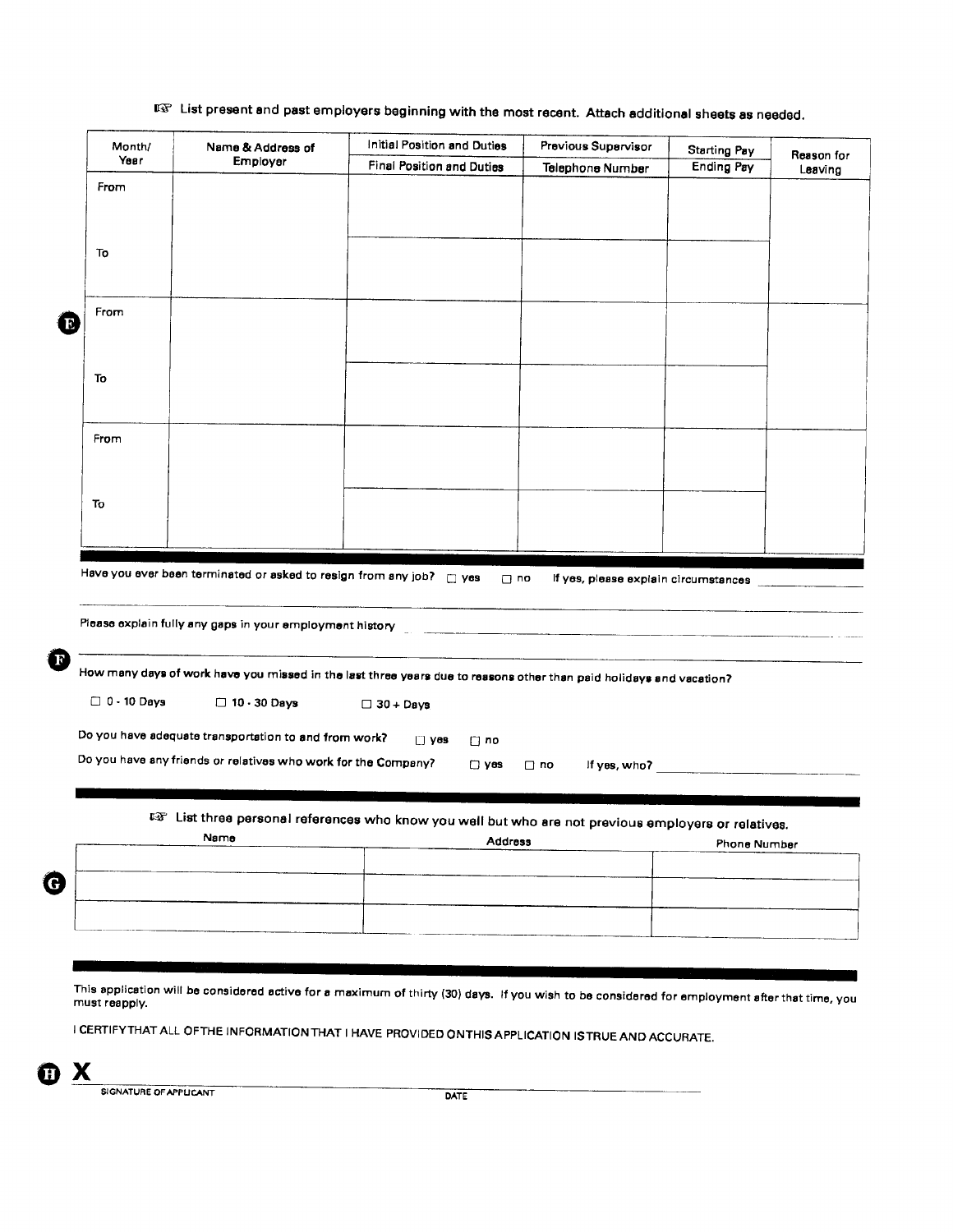## $\mathbb{F}\overline{\mathfrak{T}}$  List present and past employers beginning with the most recent. Attach additional sheets as needed.

| Month/                   | Name & Address of                                                   | Initial Position and Duties                                                                                                                                                                                                          | Previous Supervisor                  | <b>Starting Pay</b> | Reason for |
|--------------------------|---------------------------------------------------------------------|--------------------------------------------------------------------------------------------------------------------------------------------------------------------------------------------------------------------------------------|--------------------------------------|---------------------|------------|
| Year                     | Employer                                                            | <b>Final Position and Duties</b>                                                                                                                                                                                                     | Telephone Number                     | <b>Ending Pay</b>   | Leaving    |
| From                     |                                                                     |                                                                                                                                                                                                                                      |                                      |                     |            |
|                          |                                                                     |                                                                                                                                                                                                                                      |                                      |                     |            |
|                          |                                                                     |                                                                                                                                                                                                                                      |                                      |                     |            |
| To                       |                                                                     |                                                                                                                                                                                                                                      |                                      |                     |            |
|                          |                                                                     |                                                                                                                                                                                                                                      |                                      |                     |            |
|                          |                                                                     |                                                                                                                                                                                                                                      |                                      |                     |            |
| From                     |                                                                     |                                                                                                                                                                                                                                      |                                      |                     |            |
|                          |                                                                     |                                                                                                                                                                                                                                      |                                      |                     |            |
|                          |                                                                     |                                                                                                                                                                                                                                      |                                      |                     |            |
|                          |                                                                     |                                                                                                                                                                                                                                      |                                      |                     |            |
| To                       |                                                                     |                                                                                                                                                                                                                                      |                                      |                     |            |
|                          |                                                                     |                                                                                                                                                                                                                                      |                                      |                     |            |
|                          |                                                                     |                                                                                                                                                                                                                                      |                                      |                     |            |
| From                     |                                                                     |                                                                                                                                                                                                                                      |                                      |                     |            |
|                          |                                                                     |                                                                                                                                                                                                                                      |                                      |                     |            |
|                          |                                                                     |                                                                                                                                                                                                                                      |                                      |                     |            |
|                          |                                                                     |                                                                                                                                                                                                                                      |                                      |                     |            |
|                          |                                                                     |                                                                                                                                                                                                                                      |                                      |                     |            |
| To                       | Have you ever been terminated or asked to resign from any job? myes | $\Box$ no                                                                                                                                                                                                                            | If yes, please explain circumstances |                     |            |
|                          |                                                                     | Piease explain fully any gaps in your employment history <b>contained and all any of the contained and all any of the contained and all any of the contact of the contact of the contact of the contact of the contact of the co</b> |                                      |                     |            |
|                          |                                                                     | How many days of work have you missed in the last three years due to reasons other than paid holidays and vacation?                                                                                                                  |                                      |                     |            |
| $\Box$ 0 $\cdot$ 10 Days | $\Box$ 10 $\cdot$ 30 Days                                           | $\Box$ 30 + Days                                                                                                                                                                                                                     |                                      |                     |            |
|                          |                                                                     |                                                                                                                                                                                                                                      |                                      |                     |            |
|                          | Do you have adequate transportation to and from work?               | $\Box$ yes<br>$\Box$ no                                                                                                                                                                                                              |                                      |                     |            |
|                          | Do you have any friends or relatives who work for the Company?      | $\square$ yes                                                                                                                                                                                                                        | $\Box$ no                            |                     |            |
|                          |                                                                     |                                                                                                                                                                                                                                      |                                      |                     |            |
|                          |                                                                     |                                                                                                                                                                                                                                      |                                      |                     |            |
|                          |                                                                     |                                                                                                                                                                                                                                      |                                      |                     |            |
|                          | Name                                                                | to List three personal references who know you well but who are not previous employers or relatives.<br><b>Address</b>                                                                                                               |                                      | <b>Phone Number</b> |            |
|                          |                                                                     |                                                                                                                                                                                                                                      |                                      |                     |            |
|                          |                                                                     |                                                                                                                                                                                                                                      |                                      |                     |            |
|                          |                                                                     |                                                                                                                                                                                                                                      |                                      |                     |            |
|                          |                                                                     |                                                                                                                                                                                                                                      |                                      |                     |            |
|                          |                                                                     |                                                                                                                                                                                                                                      |                                      |                     |            |

This application will be considered active for a maximum of thirty (30) days. If you wish to be considered for employment after that time, you must reapply.

I CERTIFY THAT ALL OF THE INFORMATION THAT I HAVE PROVIDED ON THIS APPLICATION IS TRUE AND ACCURATE.



SIGNATURE OF APPLICANT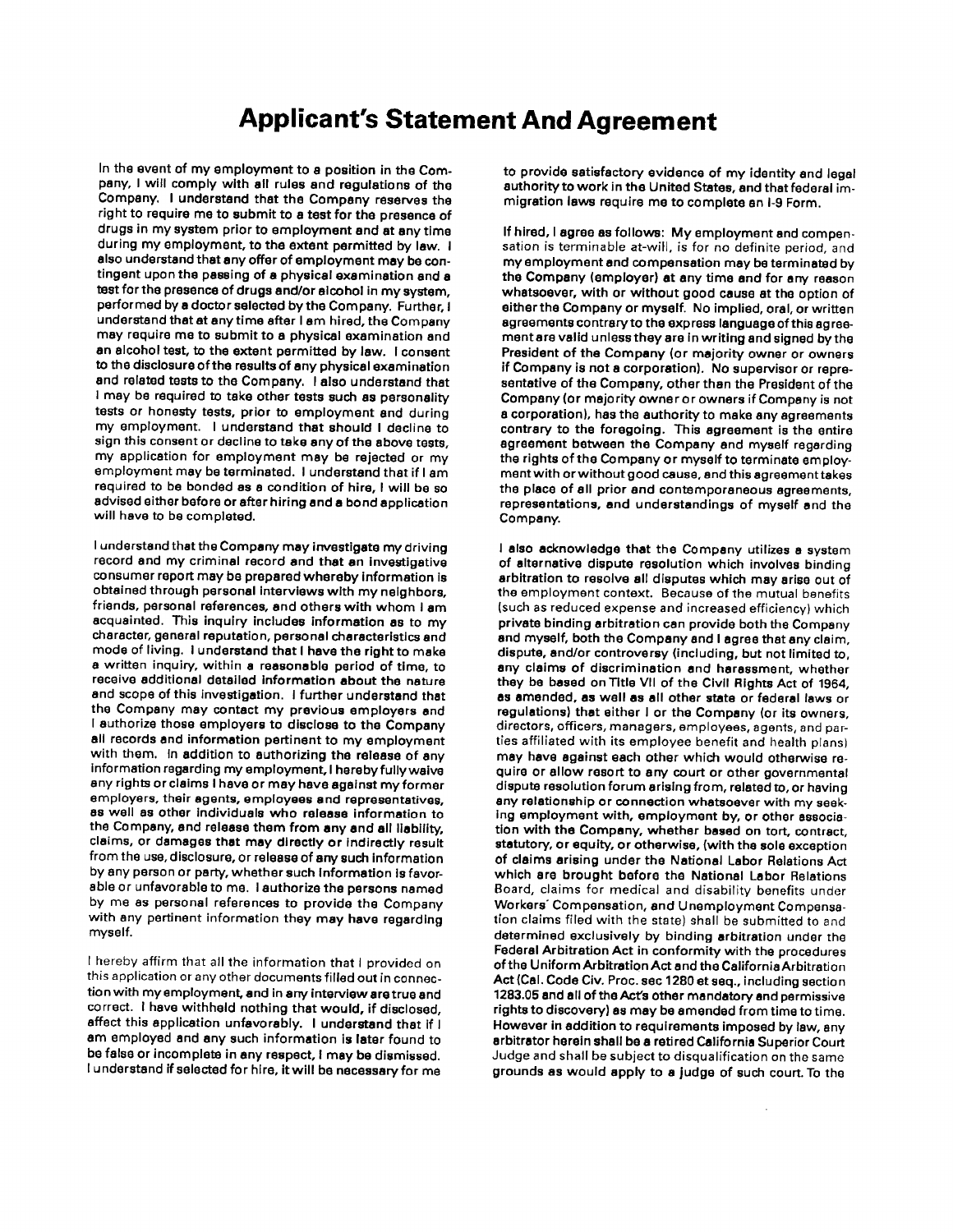## **Applicant's Statement And Agreement**

In the event of my employment to a position in the Company, I will comply with all rules and regulations of the Company. I understand that the Company reserves the right to require me to submit to a test for the presence of drugs in my system prior to employment and at any time during my employment, to the extent permitted by law. I also understand that any offer of employment may be contingent upon the passing of a physical examination and a test for the presence of drugs and/or alcohol in my system, performed by a doctor selected by the Company. Further, I understand that at any time after I am hired, the Company may require me to submit to a physical examination and an alcohol test, to the extent permitted by law. I consent to the disclosure of the results of any physical examination and related tests to the Company. I also understand that I may be required to take other tests such as personality tests or honesty tests, prior to employment and during my employment. I understand that should I decline to sign this consent or decline to take any of the above tests, my application for employment may be rejected or my employment may be terminated. I understand that if I am required to be bonded as a condition of hire, I will be so advised either before or after hiring and a bond application will have to be completed.

I understand that the Company may investigate my driving record and my criminal record and that an investigative consumer report may be prepared whereby information is obtained through personal interviews with my neighbors, friends, personal references, and others with whom I am acquainted. This inquiry includes information as to my character, general reputation, personal characteristics and mode of living. I understand that I have the right to make a written inquiry, within a reasonable period of time, to receive additional detailed information about the nature and scope of this investigation. I further understand that the Company may contact my previous employers and I authorize those employers to disclose to the Company all records and information pertinent to my employment with them. In addition to authorizing the release of any information regarding my employment, I hereby fully waive any rights or claims I have or may have against my former employers, their agents, employees and representatives, as well as other individuals who release information to the Company, and release them from any and all liability, claims, or damages that may directly or indirectly result from the use, disclosure, or release of any such information by any person or party, whether such information is favorable or unfavorable to me. I authorize the persons named by me as personal references to provide the Company with any pertinent information they may have regarding myself.

I hereby affirm that all the information that I provided on this application or any other documents filled out in connection with my employment, and in any interview are true and correct. I have withheld nothing that would, if disclosed, affect this application unfavorably. I understand that if I am employed and any such information is later found to be false or incomplete in any respect, I may be dismissed. I understand if selected for hire, it will be necessary for me

to provide satisfactory evidence of my identity and legal authority to work in the United States, and that federal immigration laws require me to complete an I-9 Form.

If hired, I agree as follows: My employment and compensation is terminable at-will, is for no definite period, and my employment and compensation may be terminated by the Company (employer) at any time and for any reason whatsoever, with or without good cause at the option of either the Company or myself. No implied, oral, or written agreements contrary to the express language of this agreement are valid unless they are in writing and signed by the President of the Company (or majority owner or owners if Company is not a corporation). No supervisor or representative of the Company, other than the President of the Company (or majority owner or owners if Company is not a corporation), has the authority to make any agreements contrary to the foregoing. This agreement is the entire agreement between the Company and myself regarding the rights of the Company or myself to terminate employment with or without good cause, and this agreement takes the place of all prior and contemporaneous agreements, representations, and understandings of myself and the Company.

I also acknowledge that the Company utilizes a system of alternative dispute resolution which involves binding arbitration to resolve all disputes which may arise out of the employment context. Because of the mutual benefits (such as reduced expense and increased efficiency) which private binding arbitration can provide both the Company and myself, both the Company and I agree that any claim, dispute, and/or controversy (including, but not limited to, any claims of discrimination and harassment, whether they be based on Title VII of the Civil Rights Act of 1964. as amended, as well as all other state or federal laws or regulations) that either I or the Company (or its owners, directors, officers, managers, employees, agents, and parties affiliated with its employee benefit and health plans) may have against each other which would otherwise require or allow resort to any court or other governmental dispute resolution forum arising from, related to, or having any relationship or connection whatsoever with my seeking employment with, employment by, or other association with the Company, whether based on tort, contract, statutory, or equity, or otherwise, (with the sole exception of claims arising under the National Labor Relations Act which are brought before the National Labor Relations Board, claims for medical and disability benefits under Workers' Compensation, and Unemployment Compensation claims filed with the state) shall be submitted to and determined exclusively by binding arbitration under the Federal Arbitration Act in conformity with the procedures of the Uniform Arbitration Act and the California Arbitration Act (Cal. Code Civ. Proc. sec 1280 et seq., including section 1283.05 and all of the Act's other mandatory and permissive rights to discovery) as may be amended from time to time. However in addition to requirements imposed by law, any arbitrator herein shall be a retired California Superior Court Judge and shall be subject to disqualification on the same grounds as would apply to a judge of such court. To the